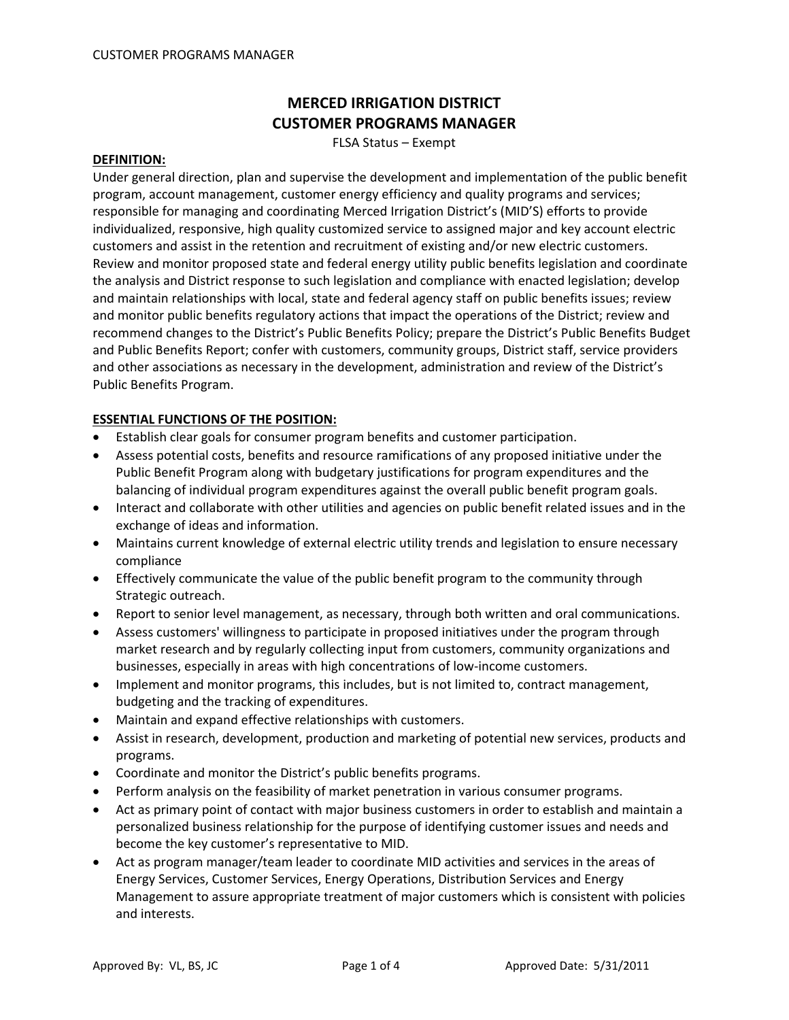# **MERCED IRRIGATION DISTRICT CUSTOMER PROGRAMS MANAGER**

FLSA Status – Exempt

#### **DEFINITION:**

Under general direction, plan and supervise the development and implementation of the public benefit program, account management, customer energy efficiency and quality programs and services; responsible for managing and coordinating Merced Irrigation District's (MID'S) efforts to provide individualized, responsive, high quality customized service to assigned major and key account electric customers and assist in the retention and recruitment of existing and/or new electric customers. Review and monitor proposed state and federal energy utility public benefits legislation and coordinate the analysis and District response to such legislation and compliance with enacted legislation; develop and maintain relationships with local, state and federal agency staff on public benefits issues; review and monitor public benefits regulatory actions that impact the operations of the District; review and recommend changes to the District's Public Benefits Policy; prepare the District's Public Benefits Budget and Public Benefits Report; confer with customers, community groups, District staff, service providers and other associations as necessary in the development, administration and review of the District's Public Benefits Program.

#### **ESSENTIAL FUNCTIONS OF THE POSITION:**

- Establish clear goals for consumer program benefits and customer participation.
- Assess potential costs, benefits and resource ramifications of any proposed initiative under the Public Benefit Program along with budgetary justifications for program expenditures and the balancing of individual program expenditures against the overall public benefit program goals.
- Interact and collaborate with other utilities and agencies on public benefit related issues and in the exchange of ideas and information.
- Maintains current knowledge of external electric utility trends and legislation to ensure necessary compliance
- Effectively communicate the value of the public benefit program to the community through Strategic outreach.
- Report to senior level management, as necessary, through both written and oral communications.
- Assess customers' willingness to participate in proposed initiatives under the program through market research and by regularly collecting input from customers, community organizations and businesses, especially in areas with high concentrations of low‐income customers.
- Implement and monitor programs, this includes, but is not limited to, contract management, budgeting and the tracking of expenditures.
- Maintain and expand effective relationships with customers.
- Assist in research, development, production and marketing of potential new services, products and programs.
- Coordinate and monitor the District's public benefits programs.
- Perform analysis on the feasibility of market penetration in various consumer programs.
- Act as primary point of contact with major business customers in order to establish and maintain a personalized business relationship for the purpose of identifying customer issues and needs and become the key customer's representative to MID.
- Act as program manager/team leader to coordinate MID activities and services in the areas of Energy Services, Customer Services, Energy Operations, Distribution Services and Energy Management to assure appropriate treatment of major customers which is consistent with policies and interests.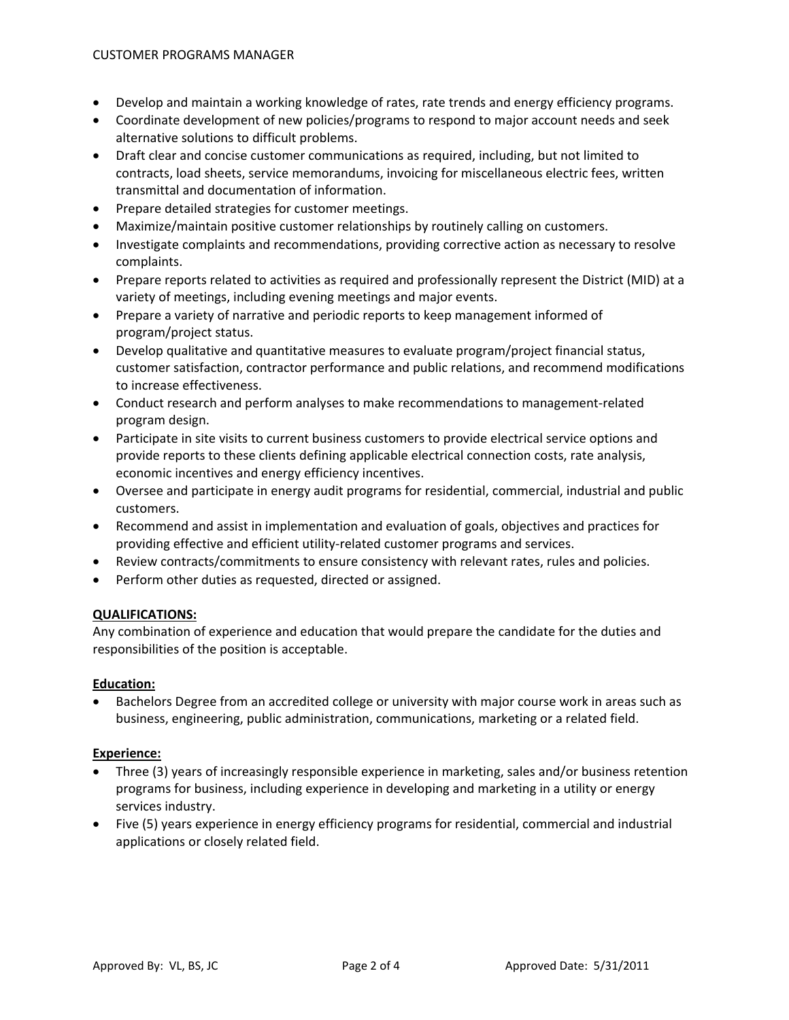- Develop and maintain a working knowledge of rates, rate trends and energy efficiency programs.
- Coordinate development of new policies/programs to respond to major account needs and seek alternative solutions to difficult problems.
- Draft clear and concise customer communications as required, including, but not limited to contracts, load sheets, service memorandums, invoicing for miscellaneous electric fees, written transmittal and documentation of information.
- Prepare detailed strategies for customer meetings.
- Maximize/maintain positive customer relationships by routinely calling on customers.
- Investigate complaints and recommendations, providing corrective action as necessary to resolve complaints.
- Prepare reports related to activities as required and professionally represent the District (MID) at a variety of meetings, including evening meetings and major events.
- Prepare a variety of narrative and periodic reports to keep management informed of program/project status.
- Develop qualitative and quantitative measures to evaluate program/project financial status, customer satisfaction, contractor performance and public relations, and recommend modifications to increase effectiveness.
- Conduct research and perform analyses to make recommendations to management-related program design.
- Participate in site visits to current business customers to provide electrical service options and provide reports to these clients defining applicable electrical connection costs, rate analysis, economic incentives and energy efficiency incentives.
- Oversee and participate in energy audit programs for residential, commercial, industrial and public customers.
- Recommend and assist in implementation and evaluation of goals, objectives and practices for providing effective and efficient utility-related customer programs and services.
- Review contracts/commitments to ensure consistency with relevant rates, rules and policies.
- Perform other duties as requested, directed or assigned.

## **QUALIFICATIONS:**

Any combination of experience and education that would prepare the candidate for the duties and responsibilities of the position is acceptable.

## **Education:**

• Bachelors Degree from an accredited college or university with major course work in areas such as business, engineering, public administration, communications, marketing or a related field.

## **Experience:**

- Three (3) years of increasingly responsible experience in marketing, sales and/or business retention programs for business, including experience in developing and marketing in a utility or energy services industry.
- Five (5) years experience in energy efficiency programs for residential, commercial and industrial applications or closely related field.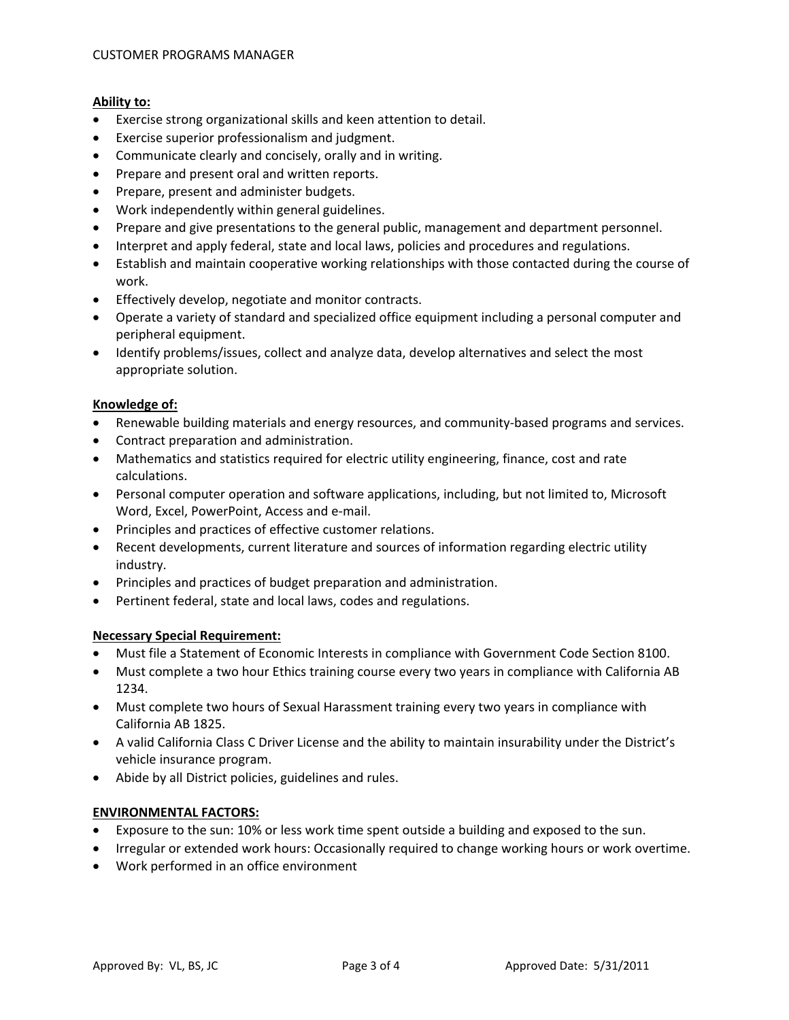### **Ability to:**

- Exercise strong organizational skills and keen attention to detail.
- Exercise superior professionalism and judgment.
- Communicate clearly and concisely, orally and in writing.
- Prepare and present oral and written reports.
- Prepare, present and administer budgets.
- Work independently within general guidelines.
- Prepare and give presentations to the general public, management and department personnel.
- Interpret and apply federal, state and local laws, policies and procedures and regulations.
- Establish and maintain cooperative working relationships with those contacted during the course of work.
- Effectively develop, negotiate and monitor contracts.
- Operate a variety of standard and specialized office equipment including a personal computer and peripheral equipment.
- Identify problems/issues, collect and analyze data, develop alternatives and select the most appropriate solution.

#### **Knowledge of:**

- Renewable building materials and energy resources, and community‐based programs and services.
- Contract preparation and administration.
- Mathematics and statistics required for electric utility engineering, finance, cost and rate calculations.
- Personal computer operation and software applications, including, but not limited to, Microsoft Word, Excel, PowerPoint, Access and e‐mail.
- Principles and practices of effective customer relations.
- Recent developments, current literature and sources of information regarding electric utility industry.
- Principles and practices of budget preparation and administration.
- Pertinent federal, state and local laws, codes and regulations.

#### **Necessary Special Requirement:**

- Must file a Statement of Economic Interests in compliance with Government Code Section 8100.
- Must complete a two hour Ethics training course every two years in compliance with California AB 1234.
- Must complete two hours of Sexual Harassment training every two years in compliance with California AB 1825.
- A valid California Class C Driver License and the ability to maintain insurability under the District's vehicle insurance program.
- Abide by all District policies, guidelines and rules.

#### **ENVIRONMENTAL FACTORS:**

- Exposure to the sun: 10% or less work time spent outside a building and exposed to the sun.
- Irregular or extended work hours: Occasionally required to change working hours or work overtime.
- Work performed in an office environment